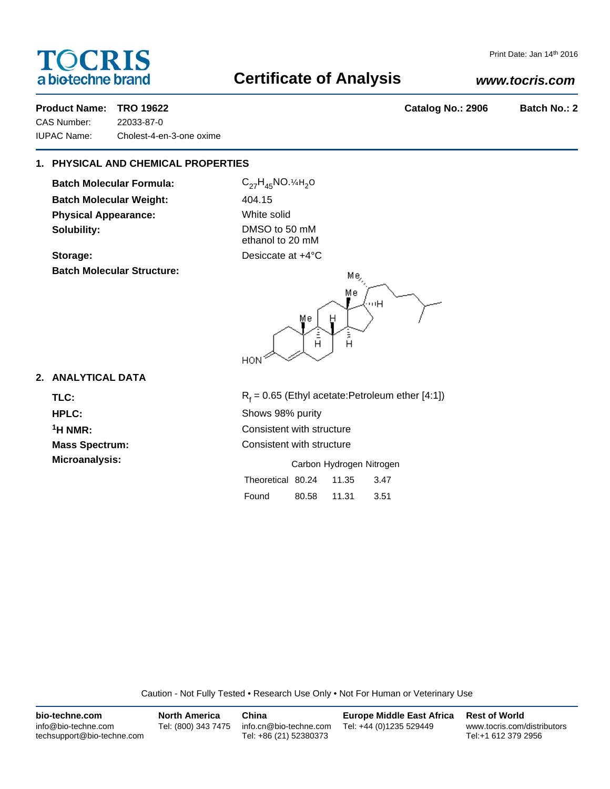# **TOCRIS** a biotechne brand

# **Certificate of Analysis**

# *www.tocris.com*

Print Date: Jan 14th 2016

# **Product Name: TRO 19622 Catalog No.: 2906 Batch No.: 2**

CAS Number: 22033-87-0 IUPAC Name: Cholest-4-en-3-one oxime

# **1. PHYSICAL AND CHEMICAL PROPERTIES**

**Batch Molecular Formula: Batch Molecular Weight: Physical Appearance: Solubility:** 

Storage: **Batch Molecular Structure:**

| $C_{27}H_{45}NO.$ <sup>1</sup> / <sub>4H<sub>2</sub>O</sub> |
|-------------------------------------------------------------|
| 404.15                                                      |
| White solid                                                 |
| DMSO to 50 mM<br>ethanol to 20 mM                           |
| Desiccate at +4°C                                           |

 $Me<sub>2</sub>$ Mе шΗ Mе  $\frac{1}{H}$ å<br>H **HON** 

# **2. ANALYTICAL DATA**

TLC: R<sub>f</sub>

 $R_f$  = 0.65 (Ethyl acetate:Petroleum ether [4:1]) **HPLC:** Shows 98% purity **1H NMR:** Consistent with structure **Mass Spectrum:** Consistent with structure **Microanalysis:** Carbon Hydrogen Nitrogen

| Theoretical 80.24 |       | 11.35 | 3.47 |
|-------------------|-------|-------|------|
| Found             | 80.58 | 11.31 | 3.51 |

Caution - Not Fully Tested • Research Use Only • Not For Human or Veterinary Use

| bio-techne.com                                    | <b>North America</b> | China                                            | <b>Europe Middle East Africa</b> | <b>Rest of World</b>                               |
|---------------------------------------------------|----------------------|--------------------------------------------------|----------------------------------|----------------------------------------------------|
| info@bio-techne.com<br>techsupport@bio-techne.com | Tel: (800) 343 7475  | info.cn@bio-techne.com<br>Tel: +86 (21) 52380373 | Tel: +44 (0)1235 529449          | www.tocris.com/distributors<br>Tel:+1 612 379 2956 |